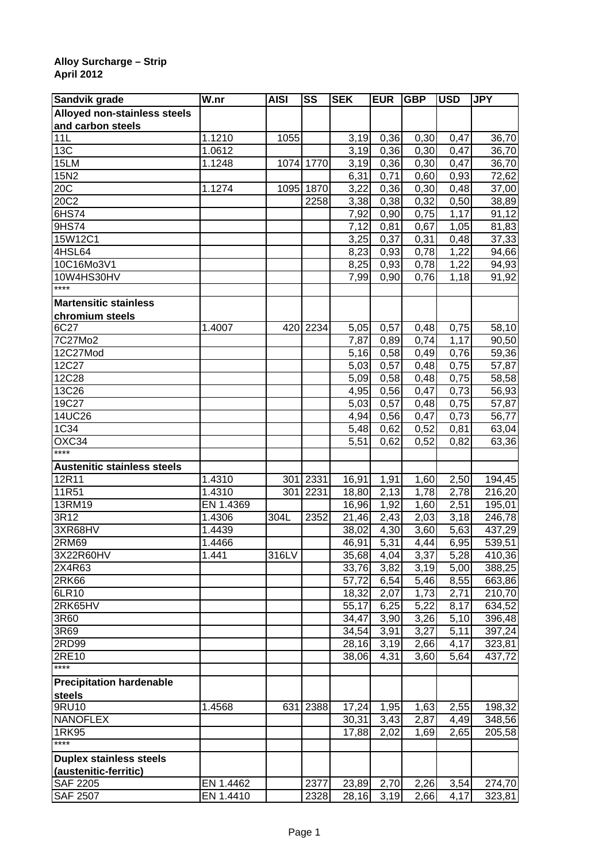## **Alloy Surcharge – Strip April 2012**

| Sandvik grade                            | $\overline{\mathsf{W}}$ .nr | <b>AISI</b> | SS        | <b>SEK</b> | <b>EUR</b> | <b>GBP</b> | <b>USD</b>        | <b>JPY</b> |
|------------------------------------------|-----------------------------|-------------|-----------|------------|------------|------------|-------------------|------------|
| Alloyed non-stainless steels             |                             |             |           |            |            |            |                   |            |
| and carbon steels                        |                             |             |           |            |            |            |                   |            |
| 11L                                      | 1.1210                      | 1055        |           | 3,19       | 0,36       | 0,30       | 0,47              | 36,70      |
| 13C                                      | 1.0612                      |             |           | 3,19       | 0,36       | 0,30       | 0,47              | 36,70      |
| 15LM                                     | 1.1248                      |             | 1074 1770 | 3,19       | 0,36       | 0,30       | 0,47              | 36,70      |
| 15N2                                     |                             |             |           | 6,31       | 0,71       | 0,60       | 0,93              | 72,62      |
| 20C                                      | 1.1274                      | 1095        | 1870      | 3,22       | 0,36       | 0,30       | 0,48              | 37,00      |
| 20C2                                     |                             |             | 2258      | 3,38       | 0,38       | 0,32       | 0,50              | 38,89      |
| 6HS74                                    |                             |             |           | 7,92       | 0,90       | 0,75       | 1,17              | 91,12      |
| 9HS74                                    |                             |             |           | 7,12       | 0,81       | 0,67       | 1,05              | 81,83      |
| 15W12C1                                  |                             |             |           | 3,25       | 0,37       | 0,31       | 0,48              | 37,33      |
| 4HSL64                                   |                             |             |           | 8,23       | 0,93       | 0,78       | 1,22              | 94,66      |
| 10C16Mo3V1                               |                             |             |           | 8,25       | 0,93       | 0,78       | 1,22              | 94,93      |
| 10W4HS30HV                               |                             |             |           | 7,99       | 0,90       | 0,76       | 1,18              | 91,92      |
| ****                                     |                             |             |           |            |            |            |                   |            |
| <b>Martensitic stainless</b>             |                             |             |           |            |            |            |                   |            |
| chromium steels                          |                             |             |           |            |            |            |                   |            |
| 6C27                                     | 1.4007                      | 420         | 2234      | 5,05       | 0,57       | 0,48       | 0,75              | 58,10      |
| 7C27Mo2                                  |                             |             |           | 7,87       | 0,89       | 0,74       | 1,17              | 90,50      |
| 12C27Mod                                 |                             |             |           | 5,16       | 0,58       | 0,49       | 0,76              | 59,36      |
| 12C27                                    |                             |             |           | 5,03       | 0,57       | 0,48       | 0,75              | 57,87      |
| 12C28                                    |                             |             |           | 5,09       | 0,58       | 0,48       | 0,75              | 58,58      |
| 13C26                                    |                             |             |           | 4,95       | 0,56       | 0,47       | 0,73              | 56,93      |
| 19C27                                    |                             |             |           | 5,03       | 0,57       | 0,48       | 0,75              | 57,87      |
| 14UC26                                   |                             |             |           | 4,94       | 0,56       | 0,47       | 0,73              | 56,77      |
| 1C34                                     |                             |             |           | 5,48       | 0,62       | 0,52       | 0,81              | 63,04      |
| OXC34                                    |                             |             |           | 5,51       | 0,62       | 0,52       | 0,82              | 63,36      |
| ****                                     |                             |             |           |            |            |            |                   |            |
| <b>Austenitic stainless steels</b>       |                             |             |           |            |            |            |                   |            |
| 12R11                                    | 1.4310                      | 301         | 2331      | 16,91      | 1,91       | 1,60       | 2,50              | 194,45     |
| 11R51                                    | 1.4310                      | 301         | 2231      | 18,80      | 2,13       | 1,78       | $\overline{2,78}$ | 216,20     |
| 13RM19                                   | EN 1.4369                   |             |           | 16,96      | 1,92       | 1,60       | 2,51              | 195,01     |
| 3R12                                     | 1.4306                      | 304L        | 2352      | 21,46      | 2,43       | 2,03       | 3,18              | 246,78     |
| 3XR68HV                                  | 1.4439                      |             |           | 38,02      | 4,30       | 3,60       | 5,63              | 437,29     |
| 2RM69                                    | 1.4466                      |             |           | 46,91      | 5,31       | 4,44       | 6,95              | 539,51     |
| 3X22R60HV                                | 1.441                       | 316LV       |           | 35,68      | 4,04       | 3,37       | 5,28              | 410,36     |
| 2X4R63                                   |                             |             |           | 33,76      | 3,82       | 3,19       | 5,00              | 388,25     |
| 2R <sub>K66</sub>                        |                             |             |           | 57,72      | 6,54       | 5,46       | 8,55              | 663,86     |
| 6LR10                                    |                             |             |           | 18,32      | 2,07       | 1,73       | $\overline{2,71}$ | 210,70     |
| 2RK65HV                                  |                             |             |           | 55,17      | 6,25       | 5,22       | $\overline{8,17}$ | 634,52     |
| 3R60                                     |                             |             |           | 34,47      | 3,90       | 3,26       | 5,10              | 396,48     |
| 3R69                                     |                             |             |           | 34,54      | 3,91       | 3,27       | 5,11              | 397,24     |
| 2RD99                                    |                             |             |           | 28,16      | 3,19       | 2,66       | 4,17              | 323,81     |
| 2RE10                                    |                             |             |           | 38,06      | 4,31       | 3,60       | 5,64              | 437,72     |
| $***$                                    |                             |             |           |            |            |            |                   |            |
| <b>Precipitation hardenable</b>          |                             |             |           |            |            |            |                   |            |
| steels                                   |                             |             |           |            |            |            |                   |            |
| 9RU10                                    | 1.4568                      | 631         | 2388      | 17,24      | 1,95       | 1,63       | 2,55              | 198,32     |
| <b>NANOFLEX</b>                          |                             |             |           | 30,31      | 3,43       | 2,87       | 4,49              | 348,56     |
| 1RK95                                    |                             |             |           | 17,88      | 2,02       | 1,69       | 2,65              | 205,58     |
| ****                                     |                             |             |           |            |            |            |                   |            |
| <b>Duplex stainless steels</b>           |                             |             |           |            |            |            |                   |            |
|                                          |                             |             |           |            |            |            |                   |            |
| (austenitic-ferritic)<br><b>SAF 2205</b> | EN 1.4462                   |             | 2377      | 23,89      |            | 2,26       | 3,54              | 274,70     |
|                                          |                             |             |           |            | 2,70       |            |                   |            |
| <b>SAF 2507</b>                          | EN 1.4410                   |             | 2328      | 28,16      | 3,19       | 2,66       | 4,17              | 323,81     |